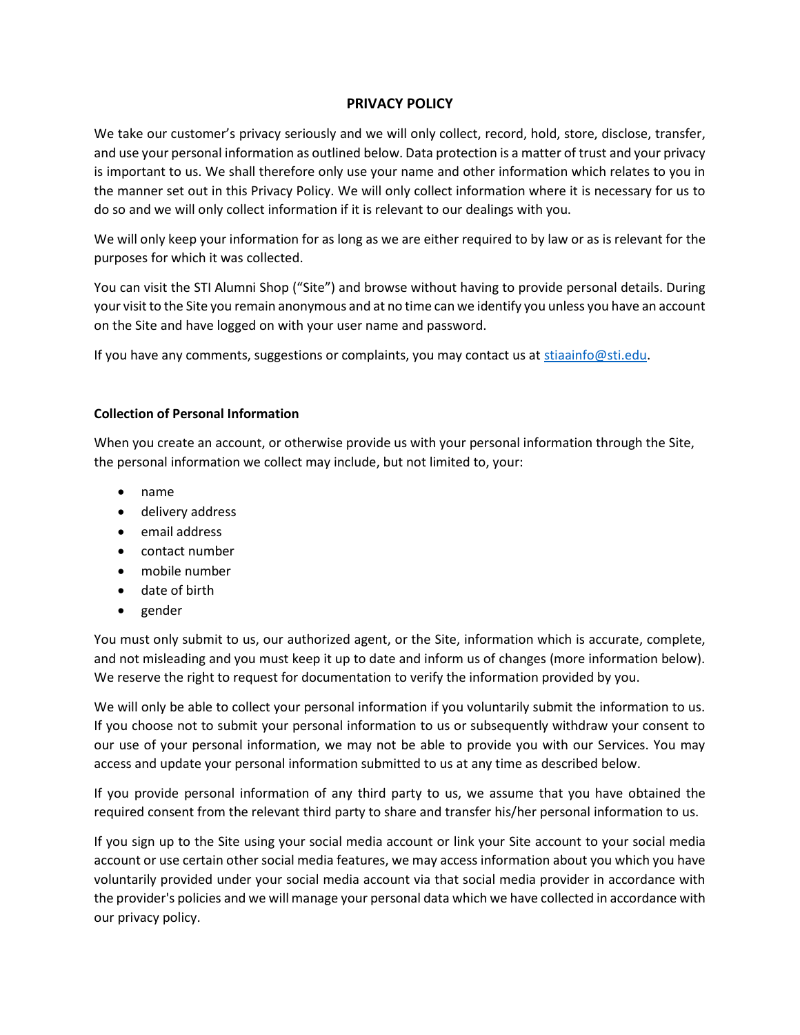# **PRIVACY POLICY**

We take our customer's privacy seriously and we will only collect, record, hold, store, disclose, transfer, and use your personal information as outlined below. Data protection is a matter of trust and your privacy is important to us. We shall therefore only use your name and other information which relates to you in the manner set out in this Privacy Policy. We will only collect information where it is necessary for us to do so and we will only collect information if it is relevant to our dealings with you.

We will only keep your information for as long as we are either required to by law or as is relevant for the purposes for which it was collected.

You can visit the STI Alumni Shop ("Site") and browse without having to provide personal details. During your visit to the Site you remain anonymous and at no time can we identify you unless you have an account on the Site and have logged on with your user name and password.

If you have any comments, suggestions or complaints, you may contact us at [stiaainfo@sti.edu.](mailto:stiaainfo@sti.edu)

# **Collection of Personal Information**

When you create an account, or otherwise provide us with your personal information through the Site, the personal information we collect may include, but not limited to, your:

- name
- delivery address
- **•** email address
- contact number
- mobile number
- date of birth
- gender

You must only submit to us, our authorized agent, or the Site, information which is accurate, complete, and not misleading and you must keep it up to date and inform us of changes (more information below). We reserve the right to request for documentation to verify the information provided by you.

We will only be able to collect your personal information if you voluntarily submit the information to us. If you choose not to submit your personal information to us or subsequently withdraw your consent to our use of your personal information, we may not be able to provide you with our Services. You may access and update your personal information submitted to us at any time as described below.

If you provide personal information of any third party to us, we assume that you have obtained the required consent from the relevant third party to share and transfer his/her personal information to us.

If you sign up to the Site using your social media account or link your Site account to your social media account or use certain other social media features, we may access information about you which you have voluntarily provided under your social media account via that social media provider in accordance with the provider's policies and we will manage your personal data which we have collected in accordance with our privacy policy.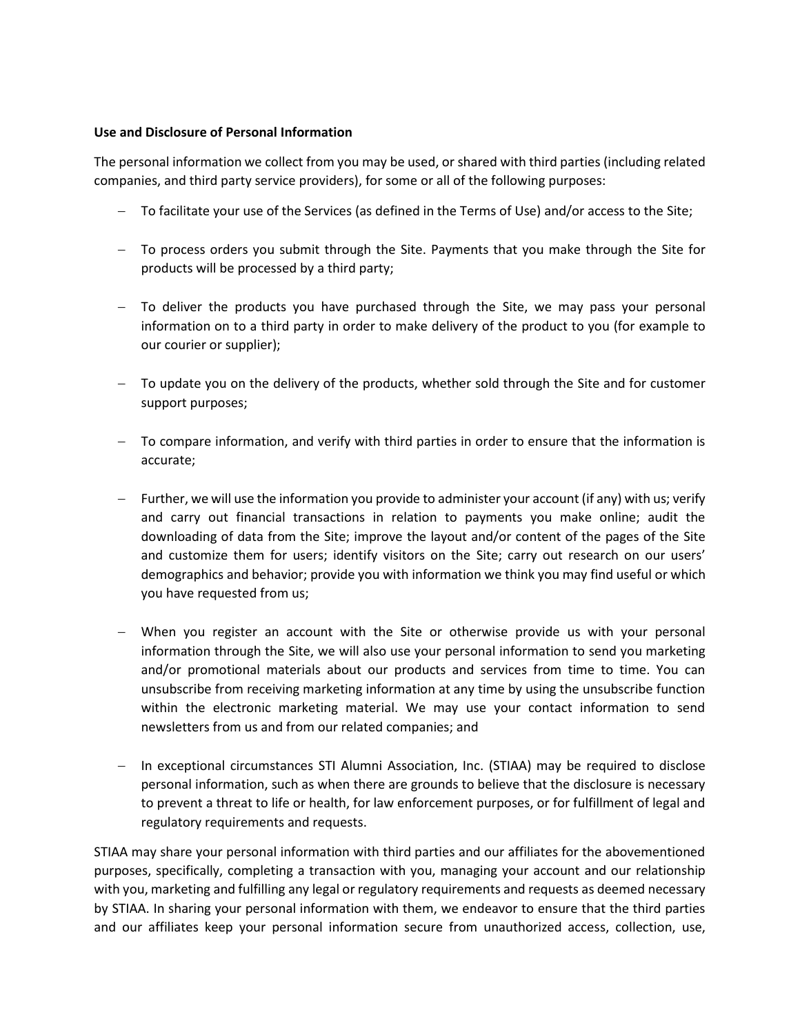#### **Use and Disclosure of Personal Information**

The personal information we collect from you may be used, or shared with third parties (including related companies, and third party service providers), for some or all of the following purposes:

- To facilitate your use of the Services (as defined in the Terms of Use) and/or access to the Site;
- To process orders you submit through the Site. Payments that you make through the Site for products will be processed by a third party;
- To deliver the products you have purchased through the Site, we may pass your personal information on to a third party in order to make delivery of the product to you (for example to our courier or supplier);
- $-$  To update you on the delivery of the products, whether sold through the Site and for customer support purposes;
- To compare information, and verify with third parties in order to ensure that the information is accurate;
- Further, we will use the information you provide to administer your account (if any) with us; verify and carry out financial transactions in relation to payments you make online; audit the downloading of data from the Site; improve the layout and/or content of the pages of the Site and customize them for users; identify visitors on the Site; carry out research on our users' demographics and behavior; provide you with information we think you may find useful or which you have requested from us;
- When you register an account with the Site or otherwise provide us with your personal information through the Site, we will also use your personal information to send you marketing and/or promotional materials about our products and services from time to time. You can unsubscribe from receiving marketing information at any time by using the unsubscribe function within the electronic marketing material. We may use your contact information to send newsletters from us and from our related companies; and
- In exceptional circumstances STI Alumni Association, Inc. (STIAA) may be required to disclose personal information, such as when there are grounds to believe that the disclosure is necessary to prevent a threat to life or health, for law enforcement purposes, or for fulfillment of legal and regulatory requirements and requests.

STIAA may share your personal information with third parties and our affiliates for the abovementioned purposes, specifically, completing a transaction with you, managing your account and our relationship with you, marketing and fulfilling any legal or regulatory requirements and requests as deemed necessary by STIAA. In sharing your personal information with them, we endeavor to ensure that the third parties and our affiliates keep your personal information secure from unauthorized access, collection, use,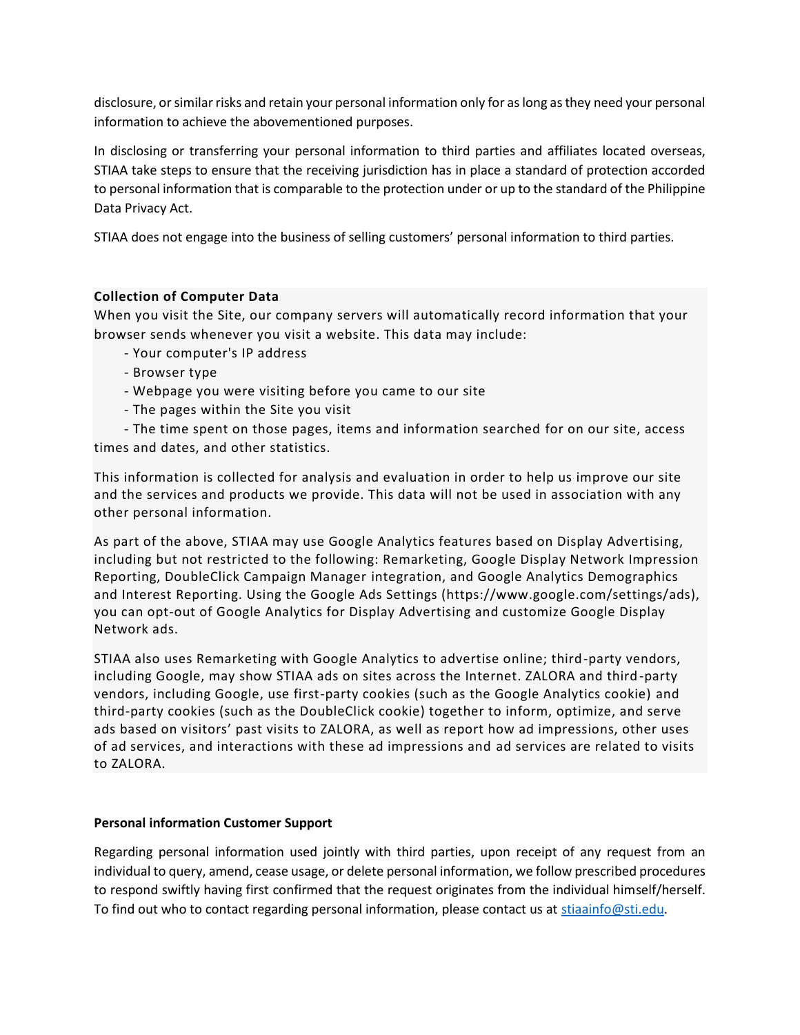disclosure, or similar risks and retain your personal information only for as long as they need your personal information to achieve the abovementioned purposes.

In disclosing or transferring your personal information to third parties and affiliates located overseas, STIAA take steps to ensure that the receiving jurisdiction has in place a standard of protection accorded to personal information that is comparable to the protection under or up to the standard of the Philippine Data Privacy Act.

STIAA does not engage into the business of selling customers' personal information to third parties.

## **Collection of Computer Data**

When you visit the Site, our company servers will automatically record information that your browser sends whenever you visit a website. This data may include:

- Your computer's IP address
- Browser type
- Webpage you were visiting before you came to our site
- The pages within the Site you visit
- The time spent on those pages, items and information searched for on our site, access

times and dates, and other statistics.

This information is collected for analysis and evaluation in order to help us improve our site and the services and products we provide. This data will not be used in association with any other personal information.

As part of the above, STIAA may use Google Analytics features based on Display Advertising, including but not restricted to the following: Remarketing, Google Display Network Impression Reporting, DoubleClick Campaign Manager integration, and Google Analytics Demographics and Interest Reporting. Using the Google Ads Settings (https://www.google.com/settings/ads), you can opt-out of Google Analytics for Display Advertising and customize Google Display Network ads.

STIAA also uses Remarketing with Google Analytics to advertise online; third-party vendors, including Google, may show STIAA ads on sites across the Internet. ZALORA and third-party vendors, including Google, use first-party cookies (such as the Google Analytics cookie) and third-party cookies (such as the DoubleClick cookie) together to inform, optimize, and serve ads based on visitors' past visits to ZALORA, as well as report how ad impressions, other uses of ad services, and interactions with these ad impressions and ad services are related to visits to ZALORA.

## **Personal information Customer Support**

Regarding personal information used jointly with third parties, upon receipt of any request from an individual to query, amend, cease usage, or delete personal information, we follow prescribed procedures to respond swiftly having first confirmed that the request originates from the individual himself/herself. To find out who to contact regarding personal information, please contact us at [stiaainfo@sti.edu.](mailto:stiaainfo@sti.edu)